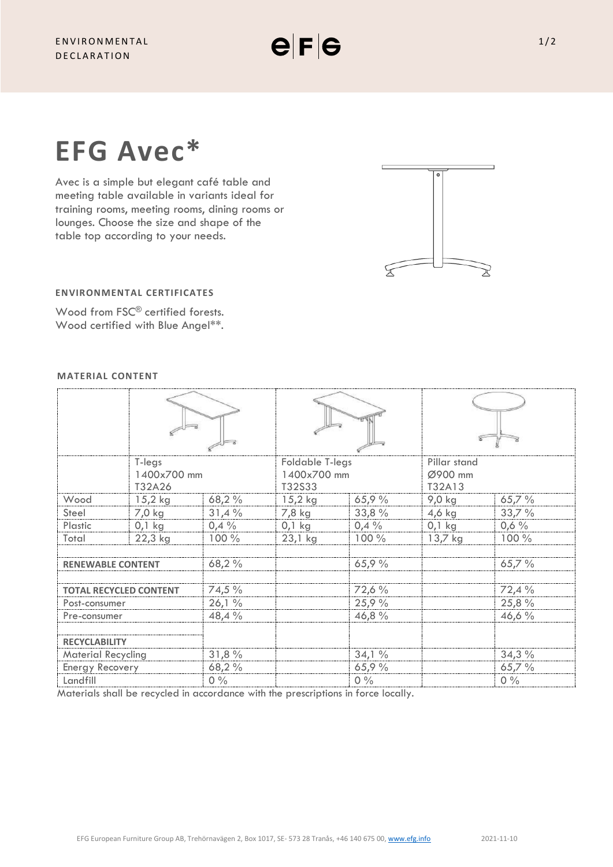**EFG Avec\***

Avec is a simple but elegant café table and meeting table available in variants ideal for training rooms, meeting rooms, dining rooms or lounges. Choose the size and shape of the table top according to your needs.



# **ENVIRONMENTAL CERTIFICATES**

Wood from FSC<sup>®</sup> certified forests. Wood certified with Blue Angel\*\*.

## **MATERIAL CONTENT**

|                               | T-legs      |        | <b>Foldable T-legs</b> |        | Pillar stand |         |
|-------------------------------|-------------|--------|------------------------|--------|--------------|---------|
|                               | 1400x700 mm |        | 1400x700 mm            |        | Ø900 mm      |         |
|                               | T32A26      |        | T32S33                 |        | T32A13       |         |
| Wood                          | $15,2$ kg   | 68,2%  | $15,2$ kg              | 65,9%  | 9,0 kg       | 65,7%   |
| Steel                         | 7,0 kg      | 31,4%  | 7,8 kg                 | 33,8 % | $4,6$ kg     | 33,7%   |
| Plastic                       | $0,1$ kg    | 0,4%   | $0,1$ kg               | 0,4%   | $0,1$ kg     | $0,6\%$ |
| Total                         | 22,3 kg     | 100 %  | $23,1$ kg              | 100 %  | $13,7$ kg    | 100 %   |
|                               |             |        |                        |        |              |         |
| <b>RENEWABLE CONTENT</b>      |             | 68,2 % |                        | 65,9%  |              | 65,7%   |
|                               |             |        |                        |        |              |         |
| <b>TOTAL RECYCLED CONTENT</b> |             | 74,5 % |                        | 72,6%  |              | 72,4%   |
| Post-consumer                 |             | 26,1%  |                        | 25,9 % |              | 25,8 %  |
| Pre-consumer                  |             | 48,4 % |                        | 46,8 % |              | 46,6 %  |
|                               |             |        |                        |        |              |         |
| <b>RECYCLABILITY</b>          |             |        |                        |        |              |         |
| <b>Material Recycling</b>     |             | 31,8%  |                        | 34,1%  |              | 34,3%   |
| Energy Recovery               |             | 68,2 % |                        | 65,9%  |              | 65,7%   |
| Landfill                      |             | $0\%$  |                        | $0\%$  |              | $0\%$   |

Materials shall be recycled in accordance with the prescriptions in force locally.